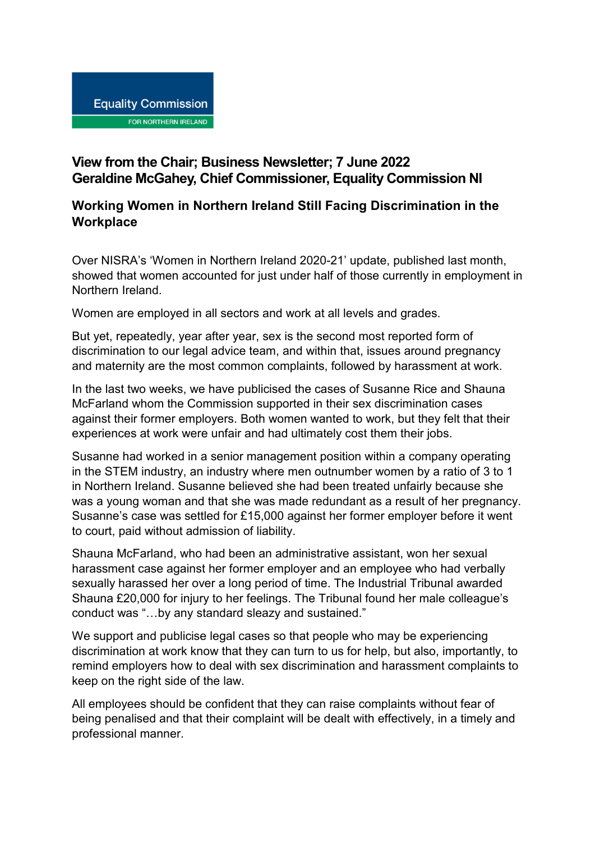## **View from the Chair; Business Newsletter; 7 June 2022 Geraldine McGahey, Chief Commissioner, Equality Commission NI**

## **Working Women in Northern Ireland Still Facing Discrimination in the Workplace**

Over NISRA's 'Women in Northern Ireland 2020-21' update, published last month, showed that women accounted for just under half of those currently in employment in Northern Ireland.

Women are employed in all sectors and work at all levels and grades.

But yet, repeatedly, year after year, sex is the second most reported form of discrimination to our legal advice team, and within that, issues around pregnancy and maternity are the most common complaints, followed by harassment at work.

In the last two weeks, we have publicised the cases of Susanne Rice and Shauna McFarland whom the Commission supported in their sex discrimination cases against their former employers. Both women wanted to work, but they felt that their experiences at work were unfair and had ultimately cost them their jobs.

Susanne had worked in a senior management position within a company operating in the STEM industry, an industry where men outnumber women by a ratio of 3 to 1 in Northern Ireland. Susanne believed she had been treated unfairly because she was a young woman and that she was made redundant as a result of her pregnancy. Susanne's case was settled for £15,000 against her former employer before it went to court, paid without admission of liability.

Shauna McFarland, who had been an administrative assistant, won her sexual harassment case against her former employer and an employee who had verbally sexually harassed her over a long period of time. The Industrial Tribunal awarded Shauna £20,000 for injury to her feelings. The Tribunal found her male colleague's conduct was "…by any standard sleazy and sustained."

We support and publicise legal cases so that people who may be experiencing discrimination at work know that they can turn to us for help, but also, importantly, to remind employers how to deal with sex discrimination and harassment complaints to keep on the right side of the law.

All employees should be confident that they can raise complaints without fear of being penalised and that their complaint will be dealt with effectively, in a timely and professional manner.